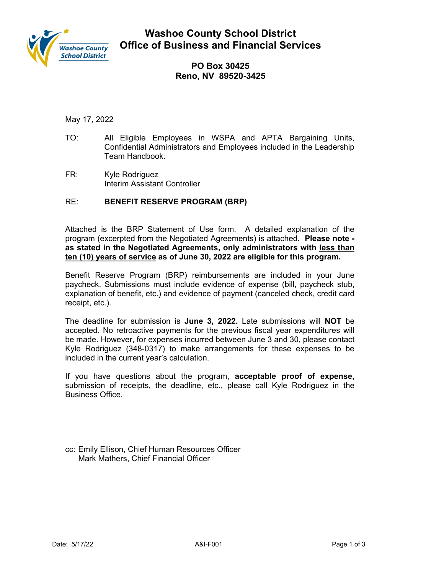

**Washoe County School District Office of Business and Financial Services** 

> **PO Box 30425 Reno, NV 89520-3425**

May 17, 2022

- TO: All Eligible Employees in WSPA and APTA Bargaining Units, Confidential Administrators and Employees included in the Leadership Team Handbook.
- FR: Kyle Rodriguez Interim Assistant Controller

# RE: **BENEFIT RESERVE PROGRAM (BRP)**

Attached is the BRP Statement of Use form. A detailed explanation of the program (excerpted from the Negotiated Agreements) is attached. **Please note as stated in the Negotiated Agreements, only administrators with less than ten (10) years of service as of June 30, 2022 are eligible for this program.** 

Benefit Reserve Program (BRP) reimbursements are included in your June paycheck. Submissions must include evidence of expense (bill, paycheck stub, explanation of benefit, etc.) and evidence of payment (canceled check, credit card receipt, etc.).

The deadline for submission is **June 3, 2022.** Late submissions will **NOT** be accepted. No retroactive payments for the previous fiscal year expenditures will be made. However, for expenses incurred between June 3 and 30, please contact Kyle Rodriguez (348-0317) to make arrangements for these expenses to be included in the current year's calculation.

If you have questions about the program, **acceptable proof of expense,** submission of receipts, the deadline, etc., please call Kyle Rodriguez in the Business Office.

cc: Emily Ellison, Chief Human Resources Officer Mark Mathers, Chief Financial Officer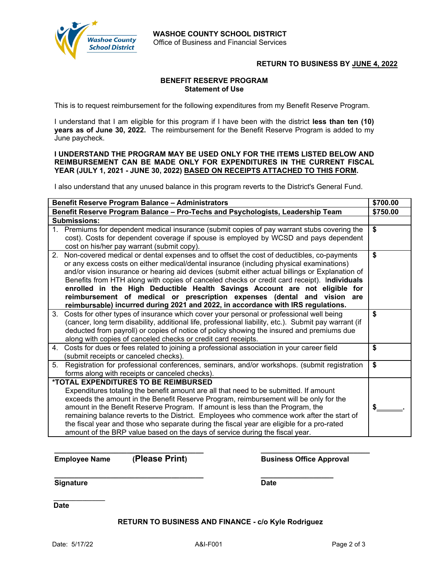

### **RETURN TO BUSINESS BY JUNE 4, 2022**

#### **BENEFIT RESERVE PROGRAM Statement of Use**

This is to request reimbursement for the following expenditures from my Benefit Reserve Program.

I understand that I am eligible for this program if I have been with the district **less than ten (10) years as of June 30, 2022.** The reimbursement for the Benefit Reserve Program is added to my June paycheck.

#### **I UNDERSTAND THE PROGRAM MAY BE USED ONLY FOR THE ITEMS LISTED BELOW AND REIMBURSEMENT CAN BE MADE ONLY FOR EXPENDITURES IN THE CURRENT FISCAL YEAR (JULY 1, 2021 - JUNE 30, 2022) BASED ON RECEIPTS ATTACHED TO THIS FORM.**

I also understand that any unused balance in this program reverts to the District's General Fund.

| Benefit Reserve Program Balance - Administrators                               |                                                                                                                                    | \$700.00 |
|--------------------------------------------------------------------------------|------------------------------------------------------------------------------------------------------------------------------------|----------|
| Benefit Reserve Program Balance - Pro-Techs and Psychologists, Leadership Team |                                                                                                                                    | \$750.00 |
| <b>Submissions:</b>                                                            |                                                                                                                                    |          |
|                                                                                | 1. Premiums for dependent medical insurance (submit copies of pay warrant stubs covering the                                       | \$       |
|                                                                                | cost). Costs for dependent coverage if spouse is employed by WCSD and pays dependent<br>cost on his/her pay warrant (submit copy). |          |
| 2.                                                                             | Non-covered medical or dental expenses and to offset the cost of deductibles, co-payments                                          | \$       |
|                                                                                | or any excess costs on either medical/dental insurance (including physical examinations)                                           |          |
|                                                                                | and/or vision insurance or hearing aid devices (submit either actual billings or Explanation of                                    |          |
|                                                                                | Benefits from HTH along with copies of canceled checks or credit card receipt). Individuals                                        |          |
|                                                                                | enrolled in the High Deductible Health Savings Account are not eligible for                                                        |          |
|                                                                                | reimbursement of medical or prescription expenses (dental and vision are                                                           |          |
|                                                                                | reimbursable) incurred during 2021 and 2022, in accordance with IRS regulations.                                                   |          |
| 3.                                                                             | Costs for other types of insurance which cover your personal or professional well being                                            | \$       |
|                                                                                | (cancer, long term disability, additional life, professional liability, etc.). Submit pay warrant (if                              |          |
|                                                                                | deducted from payroll) or copies of notice of policy showing the insured and premiums due                                          |          |
|                                                                                | along with copies of canceled checks or credit card receipts.                                                                      |          |
|                                                                                | 4. Costs for dues or fees related to joining a professional association in your career field                                       | \$       |
|                                                                                | (submit receipts or canceled checks).                                                                                              |          |
| 5.                                                                             | Registration for professional conferences, seminars, and/or workshops. (submit registration                                        | \$       |
|                                                                                | forms along with receipts or canceled checks).                                                                                     |          |
| *TOTAL EXPENDITURES TO BE REIMBURSED                                           |                                                                                                                                    |          |
|                                                                                | Expenditures totaling the benefit amount are all that need to be submitted. If amount                                              |          |
|                                                                                | exceeds the amount in the Benefit Reserve Program, reimbursement will be only for the                                              |          |
|                                                                                | amount in the Benefit Reserve Program. If amount is less than the Program, the                                                     |          |
|                                                                                | remaining balance reverts to the District. Employees who commence work after the start of                                          |          |
|                                                                                | the fiscal year and those who separate during the fiscal year are eligible for a pro-rated                                         |          |
|                                                                                | amount of the BRP value based on the days of service during the fiscal year.                                                       |          |

**Employee Name** (Please Print) Business Office Approval

**Signature** Date

**\_\_\_\_\_\_\_\_\_\_\_\_\_\_\_\_\_\_\_\_\_\_\_\_\_\_\_\_\_\_\_\_\_\_\_\_\_ \_\_\_\_\_\_\_\_\_\_\_\_\_\_\_\_\_\_** 

**\_\_\_\_\_\_\_\_\_\_\_\_\_\_\_\_ Date** 

**RETURN TO BUSINESS AND FINANCE - c/o Kyle Rodriguez**

**\_\_\_\_\_\_\_\_\_\_\_\_\_\_\_\_\_\_\_\_\_\_\_\_\_\_\_\_\_\_\_\_\_\_\_\_\_ \_\_\_\_\_\_\_\_\_\_\_\_\_\_\_\_\_\_\_\_\_\_\_\_\_\_\_**